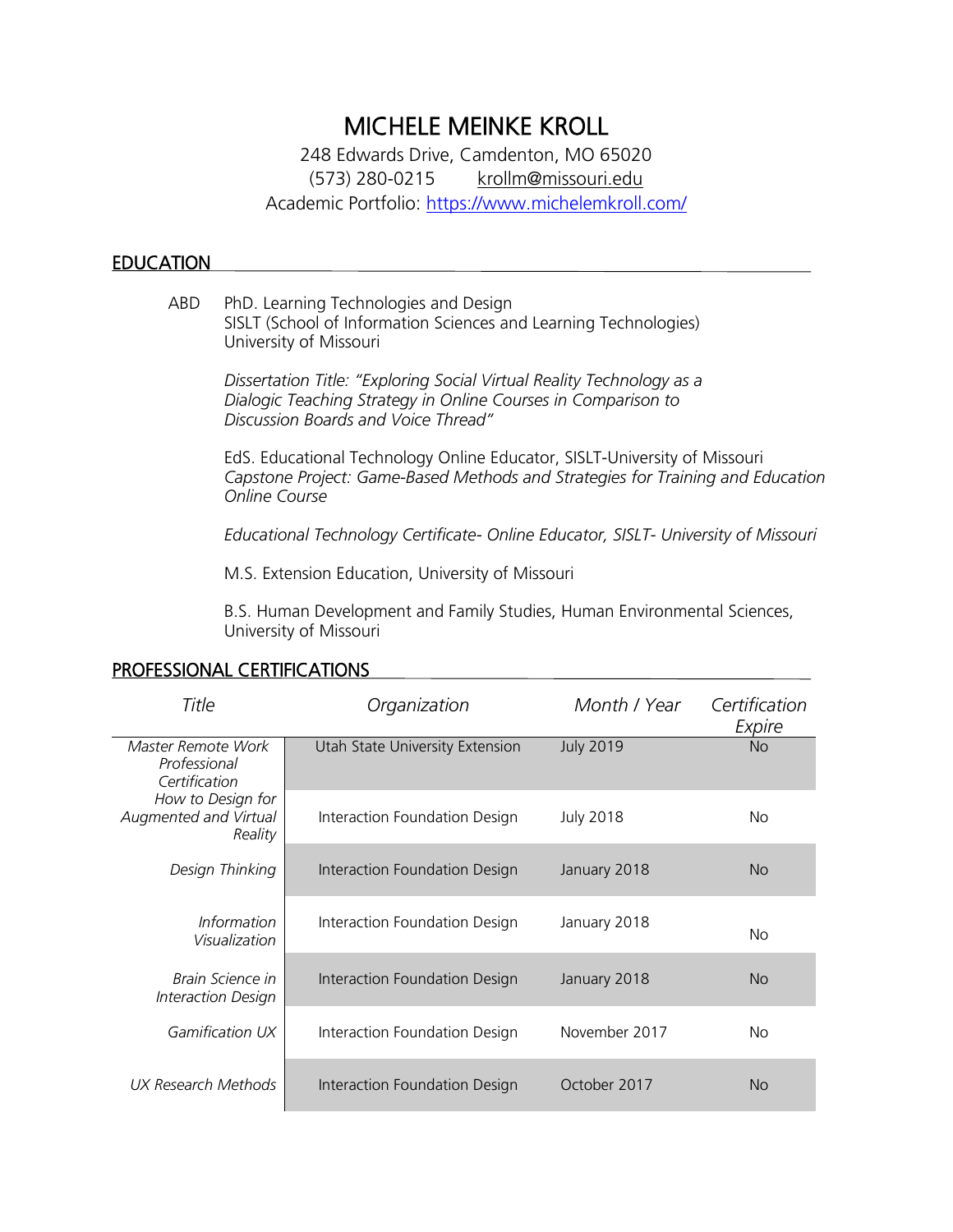# MICHELE MEINKE KROLL

248 Edwards Drive, Camdenton, MO 65020 (573) 280-0215 [krollm@missouri.edu](mailto:krollm@missouri.edu) Academic Portfolio:<https://www.michelemkroll.com/>

## **EDUCATION**

ABD PhD. Learning Technologies and Design SISLT (School of Information Sciences and Learning Technologies) University of Missouri

> *Dissertation Title: "Exploring Social Virtual Reality Technology as a Dialogic Teaching Strategy in Online Courses in Comparison to Discussion Boards and Voice Thread"*

EdS. Educational Technology Online Educator, SISLT-University of Missouri *Capstone Project: Game-Based Methods and Strategies for Training and Education Online Course*

*Educational Technology Certificate- Online Educator, SISLT- University of Missouri*

M.S. Extension Education, University of Missouri

B.S. Human Development and Family Studies, Human Environmental Sciences, University of Missouri

| Title                                                 | Organization                    | Month / Year     | Certification<br>Expire |
|-------------------------------------------------------|---------------------------------|------------------|-------------------------|
| Master Remote Work<br>Professional<br>Certification   | Utah State University Extension | <b>July 2019</b> | <b>No</b>               |
| How to Design for<br>Augmented and Virtual<br>Reality | Interaction Foundation Design   | <b>July 2018</b> | No.                     |
| Design Thinking                                       | Interaction Foundation Design   | January 2018     | <b>No</b>               |
| <i>Information</i><br>Visualization                   | Interaction Foundation Design   | January 2018     | <b>No</b>               |
| Brain Science in<br>Interaction Design                | Interaction Foundation Design   | January 2018     | <b>No</b>               |
| Gamification UX                                       | Interaction Foundation Design   | November 2017    | No.                     |
| UX Research Methods                                   | Interaction Foundation Design   | October 2017     | Nο                      |

# PROFESSIONAL CERTIFICATIONS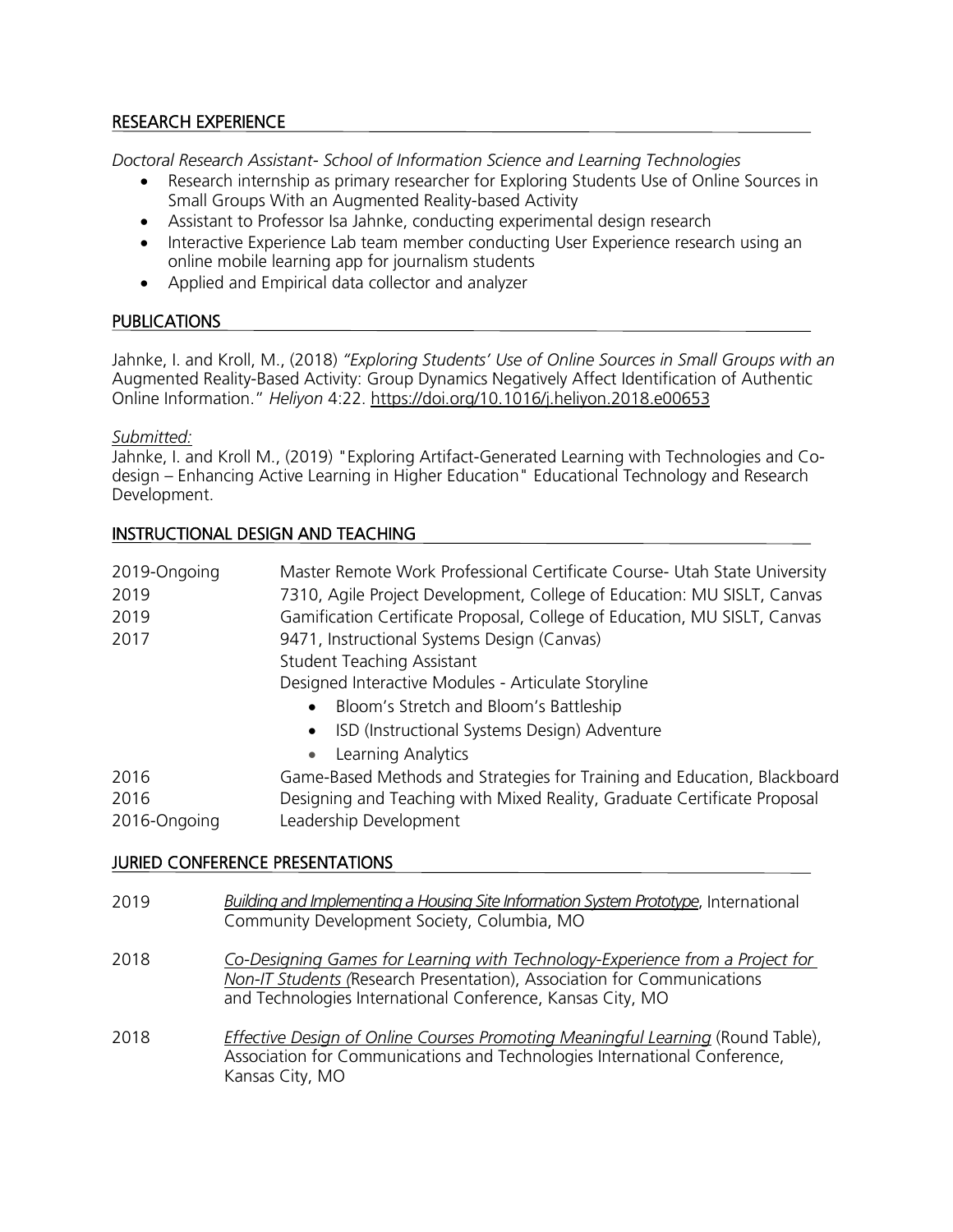# RESEARCH EXPERIENCE

*Doctoral Research Assistant- School of Information Science and Learning Technologies*

- Research internship as primary researcher for Exploring Students Use of Online Sources in Small Groups With an Augmented Reality-based Activity
- Assistant to Professor Isa Jahnke, conducting experimental design research
- Interactive Experience Lab team member conducting User Experience research using an online mobile learning app for journalism students
- Applied and Empirical data collector and analyzer

# PUBLICATIONS

Jahnke, I. and Kroll, M., (2018) *"Exploring Students' Use of Online Sources in Small Groups with an*  Augmented Reality-Based Activity: Group Dynamics Negatively Affect Identification of Authentic Online Information." *Heliyon* 4:22.<https://doi.org/10.1016/j.heliyon.2018.e00653>

## *Submitted:*

Jahnke, I. and Kroll M., (2019) "Exploring Artifact-Generated Learning with Technologies and Codesign – Enhancing Active Learning in Higher Education" Educational Technology and Research Development.

# INSTRUCTIONAL DESIGN AND TEACHING

| 2019-Ongoing | Master Remote Work Professional Certificate Course- Utah State University |
|--------------|---------------------------------------------------------------------------|
| 2019         | 7310, Agile Project Development, College of Education: MU SISLT, Canvas   |
| 2019         | Gamification Certificate Proposal, College of Education, MU SISLT, Canvas |
| 2017         | 9471, Instructional Systems Design (Canvas)                               |
|              | <b>Student Teaching Assistant</b>                                         |
|              | Designed Interactive Modules - Articulate Storyline                       |
|              | Bloom's Stretch and Bloom's Battleship<br>$\bullet$                       |
|              | ISD (Instructional Systems Design) Adventure<br>$\bullet$                 |
|              | Learning Analytics<br>$\bullet$                                           |
| 2016         | Game-Based Methods and Strategies for Training and Education, Blackboard  |
| 2016         | Designing and Teaching with Mixed Reality, Graduate Certificate Proposal  |
| 2016-Ongoing | Leadership Development                                                    |

# JURIED CONFERENCE PRESENTATIONS

| 2019 | <b>Building and Implementing a Housing Site Information System Prototype, International</b><br>Community Development Society, Columbia, MO                                                                             |
|------|------------------------------------------------------------------------------------------------------------------------------------------------------------------------------------------------------------------------|
| 2018 | Co-Designing Games for Learning with Technology-Experience from a Project for<br>Non-IT Students (Research Presentation), Association for Communications<br>and Technologies International Conference, Kansas City, MO |
| 2018 | Effective Design of Online Courses Promoting Meaningful Learning (Round Table),<br>Association for Communications and Technologies International Conference,<br>Kansas City, MO                                        |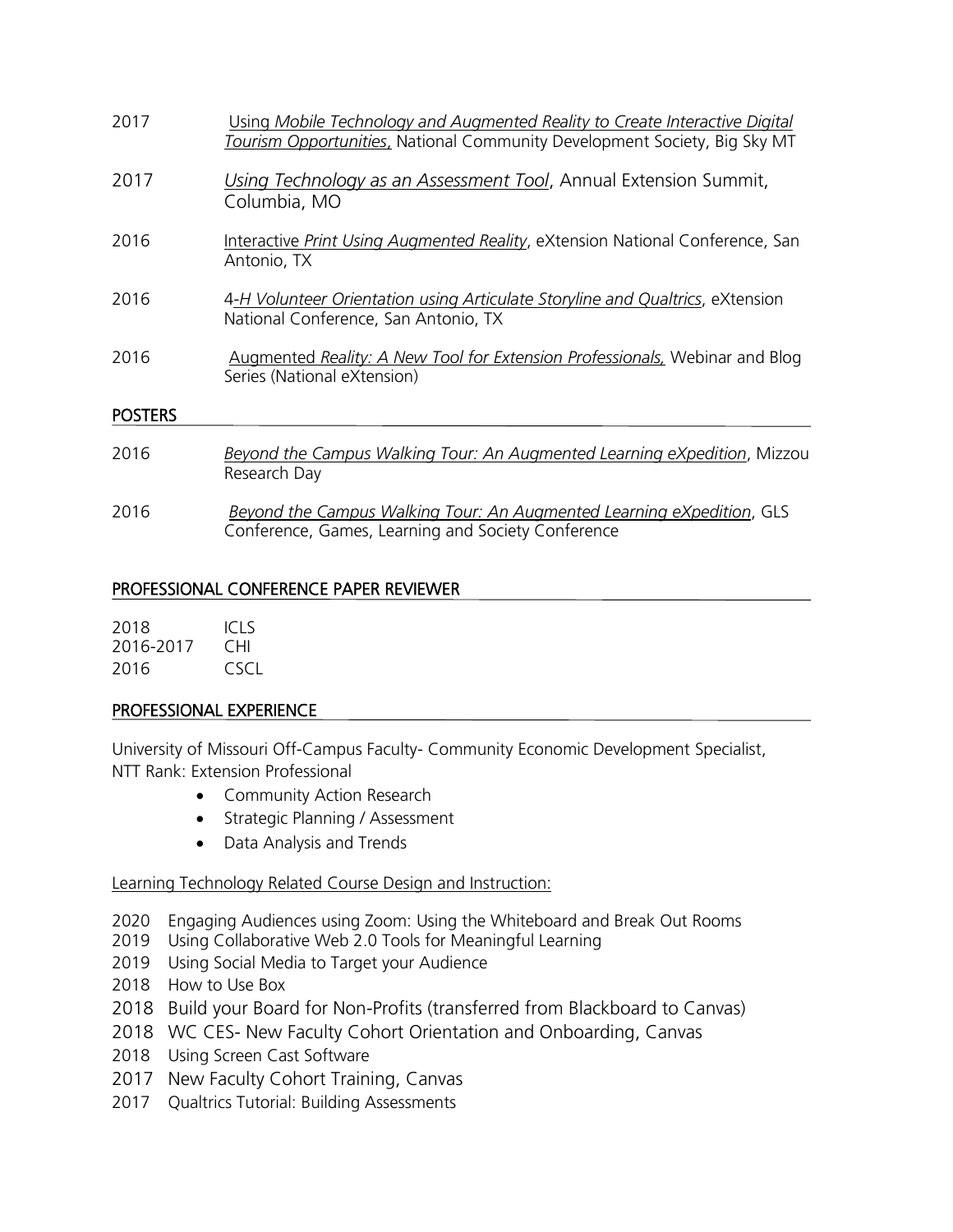| 2017           | Using Mobile Technology and Augmented Reality to Create Interactive Digital<br>Tourism Opportunities, National Community Development Society, Big Sky MT |
|----------------|----------------------------------------------------------------------------------------------------------------------------------------------------------|
| 2017           | Using Technology as an Assessment Tool, Annual Extension Summit,<br>Columbia, MO                                                                         |
| 2016           | Interactive Print Using Augmented Reality, eXtension National Conference, San<br>Antonio, TX                                                             |
| 2016           | 4-H Volunteer Orientation using Articulate Storyline and Qualtrics, eXtension<br>National Conference, San Antonio, TX                                    |
| 2016           | Augmented Reality: A New Tool for Extension Professionals, Webinar and Blog<br>Series (National eXtension)                                               |
| <b>POSTERS</b> |                                                                                                                                                          |
| 2016           | Beyond the Campus Walking Tour: An Augmented Learning eXpedition, Mizzou<br>Research Day                                                                 |

2016 *Beyond the Campus Walking Tour: An Augmented Learning eXpedition*, GLS Conference, Games, Learning and Society Conference

## PROFESSIONAL CONFERENCE PAPER REVIEWER

| 2018      | ICI S |
|-----------|-------|
| 2016-2017 | CHI.  |
| 2016      | CSCI. |

### PROFESSIONAL EXPERIENCE

University of Missouri Off-Campus Faculty- Community Economic Development Specialist, NTT Rank: Extension Professional

- Community Action Research
- Strategic Planning / Assessment
- Data Analysis and Trends

### Learning Technology Related Course Design and Instruction:

- 2020 Engaging Audiences using Zoom: Using the Whiteboard and Break Out Rooms
- 2019 Using Collaborative Web 2.0 Tools for Meaningful Learning
- 2019 Using Social Media to Target your Audience
- 2018 How to Use Box
- 2018 Build your Board for Non-Profits (transferred from Blackboard to Canvas)
- 2018 WC CES- New Faculty Cohort Orientation and Onboarding, Canvas
- 2018 Using Screen Cast Software
- 2017 New Faculty Cohort Training, Canvas
- 2017 Qualtrics Tutorial: Building Assessments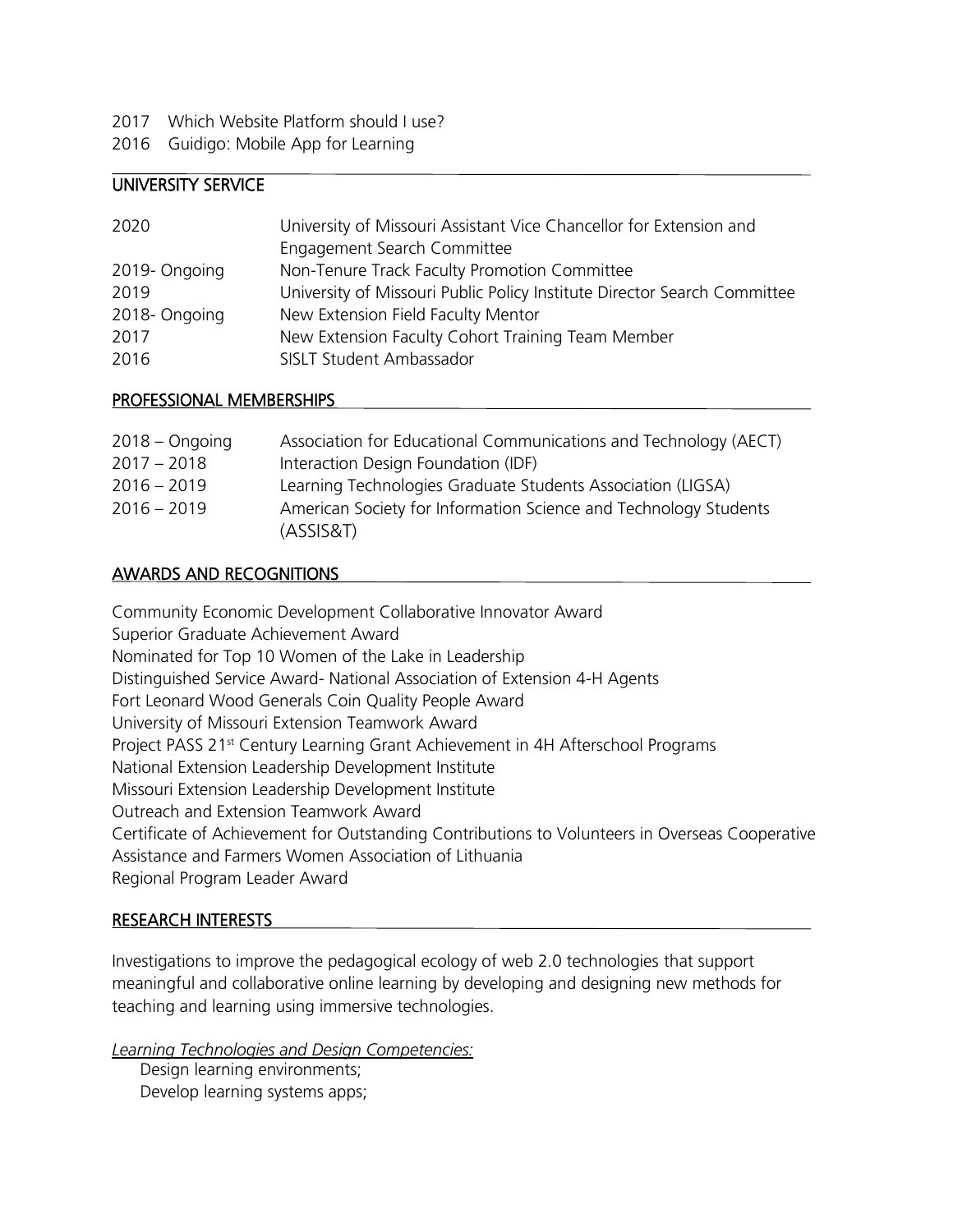- 2017 Which Website Platform should Luse?
- 2016 Guidigo: Mobile App for Learning

# UNIVERSITY SERVICE

| 2020         | University of Missouri Assistant Vice Chancellor for Extension and       |
|--------------|--------------------------------------------------------------------------|
|              | Engagement Search Committee                                              |
| 2019-Ongoing | Non-Tenure Track Faculty Promotion Committee                             |
| 2019         | University of Missouri Public Policy Institute Director Search Committee |
| 2018-Ongoing | New Extension Field Faculty Mentor                                       |
| 2017         | New Extension Faculty Cohort Training Team Member                        |
| 2016         | SISLT Student Ambassador                                                 |
|              |                                                                          |

### PROFESSIONAL MEMBERSHIPS

| $2018 -$ Ongoing | Association for Educational Communications and Technology (AECT) |
|------------------|------------------------------------------------------------------|
| $2017 - 2018$    | Interaction Design Foundation (IDF)                              |
| $2016 - 2019$    | Learning Technologies Graduate Students Association (LIGSA)      |
| $2016 - 2019$    | American Society for Information Science and Technology Students |
|                  | (ASSIS&T)                                                        |

## AWARDS AND RECOGNITIONS

Community Economic Development Collaborative Innovator Award Superior Graduate Achievement Award Nominated for Top 10 Women of the Lake in Leadership Distinguished Service Award- National Association of Extension 4-H Agents Fort Leonard Wood Generals Coin Quality People Award University of Missouri Extension Teamwork Award Project PASS 21<sup>st</sup> Century Learning Grant Achievement in 4H Afterschool Programs National Extension Leadership Development Institute Missouri Extension Leadership Development Institute Outreach and Extension Teamwork Award Certificate of Achievement for Outstanding Contributions to Volunteers in Overseas Cooperative Assistance and Farmers Women Association of Lithuania Regional Program Leader Award

### RESEARCH INTERESTS

Investigations to improve the pedagogical ecology of web 2.0 technologies that support meaningful and collaborative online learning by developing and designing new methods for teaching and learning using immersive technologies.

*Learning Technologies and Design Competencies:*

Design learning environments; Develop learning systems apps;